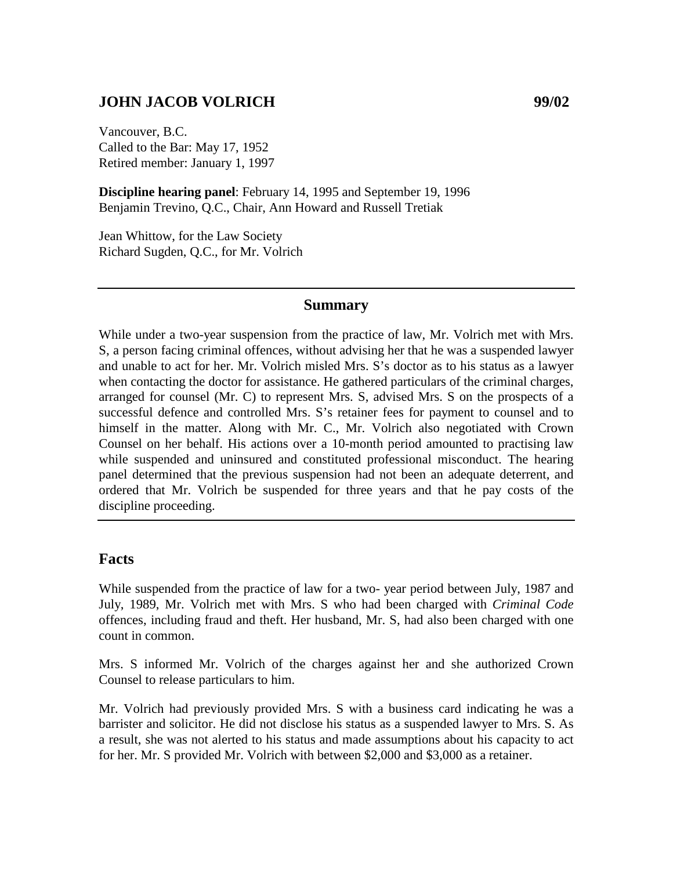### **JOHN JACOB VOLRICH 99/02**

Vancouver, B.C. Called to the Bar: May 17, 1952 Retired member: January 1, 1997

**Discipline hearing panel**: February 14, 1995 and September 19, 1996 Benjamin Trevino, Q.C., Chair, Ann Howard and Russell Tretiak

Jean Whittow, for the Law Society Richard Sugden, Q.C., for Mr. Volrich

### **Summary**

While under a two-year suspension from the practice of law, Mr. Volrich met with Mrs. S, a person facing criminal offences, without advising her that he was a suspended lawyer and unable to act for her. Mr. Volrich misled Mrs. S's doctor as to his status as a lawyer when contacting the doctor for assistance. He gathered particulars of the criminal charges, arranged for counsel (Mr. C) to represent Mrs. S, advised Mrs. S on the prospects of a successful defence and controlled Mrs. S's retainer fees for payment to counsel and to himself in the matter. Along with Mr. C., Mr. Volrich also negotiated with Crown Counsel on her behalf. His actions over a 10-month period amounted to practising law while suspended and uninsured and constituted professional misconduct. The hearing panel determined that the previous suspension had not been an adequate deterrent, and ordered that Mr. Volrich be suspended for three years and that he pay costs of the discipline proceeding.

#### **Facts**

While suspended from the practice of law for a two- year period between July, 1987 and July, 1989, Mr. Volrich met with Mrs. S who had been charged with *Criminal Code*  offences, including fraud and theft. Her husband, Mr. S, had also been charged with one count in common.

Mrs. S informed Mr. Volrich of the charges against her and she authorized Crown Counsel to release particulars to him.

Mr. Volrich had previously provided Mrs. S with a business card indicating he was a barrister and solicitor. He did not disclose his status as a suspended lawyer to Mrs. S. As a result, she was not alerted to his status and made assumptions about his capacity to act for her. Mr. S provided Mr. Volrich with between \$2,000 and \$3,000 as a retainer.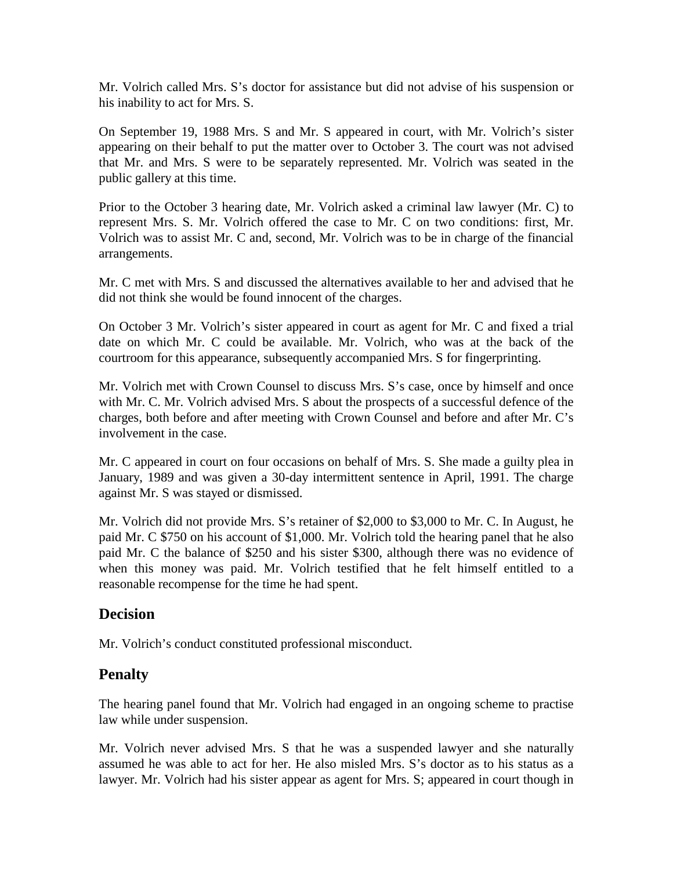Mr. Volrich called Mrs. S's doctor for assistance but did not advise of his suspension or his inability to act for Mrs. S.

On September 19, 1988 Mrs. S and Mr. S appeared in court, with Mr. Volrich's sister appearing on their behalf to put the matter over to October 3. The court was not advised that Mr. and Mrs. S were to be separately represented. Mr. Volrich was seated in the public gallery at this time.

Prior to the October 3 hearing date, Mr. Volrich asked a criminal law lawyer (Mr. C) to represent Mrs. S. Mr. Volrich offered the case to Mr. C on two conditions: first, Mr. Volrich was to assist Mr. C and, second, Mr. Volrich was to be in charge of the financial arrangements.

Mr. C met with Mrs. S and discussed the alternatives available to her and advised that he did not think she would be found innocent of the charges.

On October 3 Mr. Volrich's sister appeared in court as agent for Mr. C and fixed a trial date on which Mr. C could be available. Mr. Volrich, who was at the back of the courtroom for this appearance, subsequently accompanied Mrs. S for fingerprinting.

Mr. Volrich met with Crown Counsel to discuss Mrs. S's case, once by himself and once with Mr. C. Mr. Volrich advised Mrs. S about the prospects of a successful defence of the charges, both before and after meeting with Crown Counsel and before and after Mr. C's involvement in the case.

Mr. C appeared in court on four occasions on behalf of Mrs. S. She made a guilty plea in January, 1989 and was given a 30-day intermittent sentence in April, 1991. The charge against Mr. S was stayed or dismissed.

Mr. Volrich did not provide Mrs. S's retainer of \$2,000 to \$3,000 to Mr. C. In August, he paid Mr. C \$750 on his account of \$1,000. Mr. Volrich told the hearing panel that he also paid Mr. C the balance of \$250 and his sister \$300, although there was no evidence of when this money was paid. Mr. Volrich testified that he felt himself entitled to a reasonable recompense for the time he had spent.

# **Decision**

Mr. Volrich's conduct constituted professional misconduct.

# **Penalty**

The hearing panel found that Mr. Volrich had engaged in an ongoing scheme to practise law while under suspension.

Mr. Volrich never advised Mrs. S that he was a suspended lawyer and she naturally assumed he was able to act for her. He also misled Mrs. S's doctor as to his status as a lawyer. Mr. Volrich had his sister appear as agent for Mrs. S; appeared in court though in